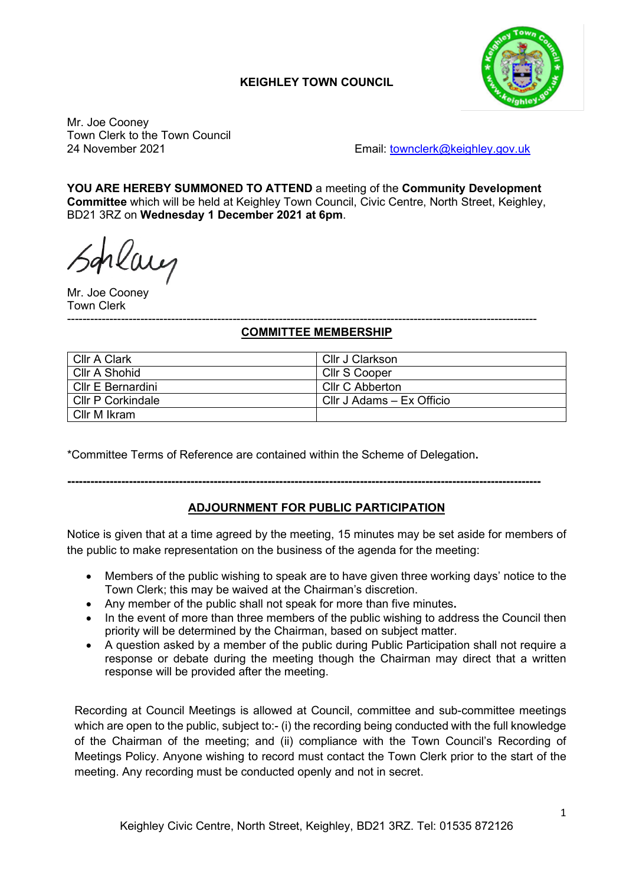# **KEIGHLEY TOWN COUNCIL**



Mr. Joe Cooney Town Clerk to the Town Council

24 November 2021 Email: [townclerk@keighley.gov.uk](mailto:townclerk@keighley.gov.uk)

**YOU ARE HEREBY SUMMONED TO ATTEND** a meeting of the **Community Development Committee** which will be held at Keighley Town Council, Civic Centre, North Street, Keighley, BD21 3RZ on **Wednesday 1 December 2021 at 6pm**.

rlaug

Mr. Joe Cooney Town Clerk

#### -------------------------------------------------------------------------------------------------------------------------- **COMMITTEE MEMBERSHIP**

| Cllr A Clark             | Cllr J Clarkson           |
|--------------------------|---------------------------|
| Cllr A Shohid            | Cllr S Cooper             |
| Cllr E Bernardini        | <b>Cllr C Abberton</b>    |
| <b>CIIr P Corkindale</b> | Cllr J Adams - Ex Officio |
| Cllr M Ikram             |                           |

\*Committee Terms of Reference are contained within the Scheme of Delegation**.**

## **---------------------------------------------------------------------------------------------------------------------------**

# **ADJOURNMENT FOR PUBLIC PARTICIPATION**

Notice is given that at a time agreed by the meeting, 15 minutes may be set aside for members of the public to make representation on the business of the agenda for the meeting:

- Members of the public wishing to speak are to have given three working days' notice to the Town Clerk; this may be waived at the Chairman's discretion.
- Any member of the public shall not speak for more than five minutes**.**
- In the event of more than three members of the public wishing to address the Council then priority will be determined by the Chairman, based on subject matter.
- A question asked by a member of the public during Public Participation shall not require a response or debate during the meeting though the Chairman may direct that a written response will be provided after the meeting.

Recording at Council Meetings is allowed at Council, committee and sub-committee meetings which are open to the public, subject to:- (i) the recording being conducted with the full knowledge of the Chairman of the meeting; and (ii) compliance with the Town Council's Recording of Meetings Policy. Anyone wishing to record must contact the Town Clerk prior to the start of the meeting. Any recording must be conducted openly and not in secret.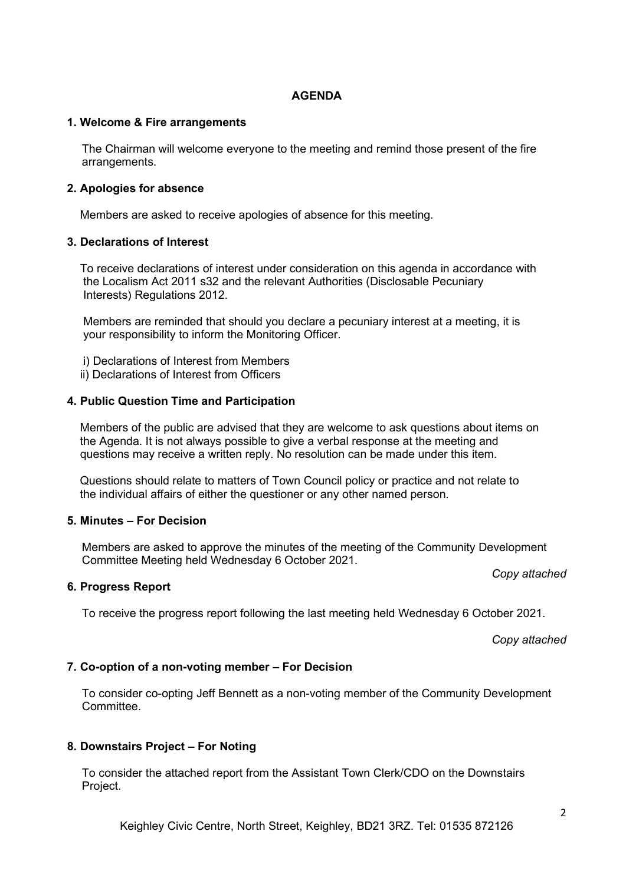### **AGENDA**

#### **1. Welcome & Fire arrangements**

The Chairman will welcome everyone to the meeting and remind those present of the fire arrangements.

### **2. Apologies for absence**

Members are asked to receive apologies of absence for this meeting.

### **3. Declarations of Interest**

 To receive declarations of interest under consideration on this agenda in accordance with the Localism Act 2011 s32 and the relevant Authorities (Disclosable Pecuniary Interests) Regulations 2012.

 Members are reminded that should you declare a pecuniary interest at a meeting, it is your responsibility to inform the Monitoring Officer.

- i) Declarations of Interest from Members
- ii) Declarations of Interest from Officers

### **4. Public Question Time and Participation**

 Members of the public are advised that they are welcome to ask questions about items on the Agenda. It is not always possible to give a verbal response at the meeting and questions may receive a written reply. No resolution can be made under this item.

 Questions should relate to matters of Town Council policy or practice and not relate to the individual affairs of either the questioner or any other named person.

#### **5. Minutes – For Decision**

Members are asked to approve the minutes of the meeting of the Community Development Committee Meeting held Wednesday 6 October 2021.

### **6. Progress Report**

To receive the progress report following the last meeting held Wednesday 6 October 2021.

*Copy attached*

*Copy attached*

### **7. Co-option of a non-voting member – For Decision**

To consider co-opting Jeff Bennett as a non-voting member of the Community Development Committee.

### **8. Downstairs Project – For Noting**

To consider the attached report from the Assistant Town Clerk/CDO on the Downstairs Project.